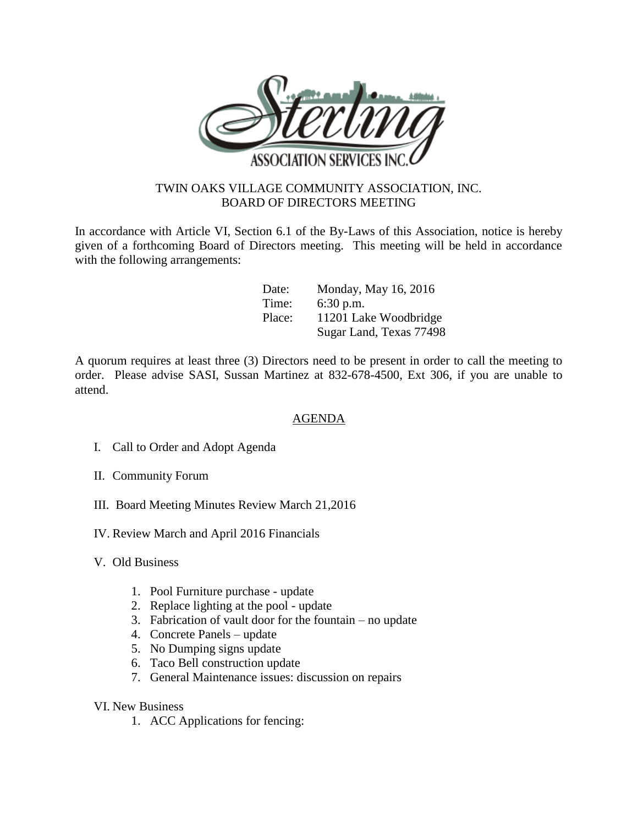

## TWIN OAKS VILLAGE COMMUNITY ASSOCIATION, INC. BOARD OF DIRECTORS MEETING

In accordance with Article VI, Section 6.1 of the By-Laws of this Association, notice is hereby given of a forthcoming Board of Directors meeting. This meeting will be held in accordance with the following arrangements:

| Date:  | Monday, May 16, 2016    |
|--------|-------------------------|
| Time:  | $6:30$ p.m.             |
| Place: | 11201 Lake Woodbridge   |
|        | Sugar Land, Texas 77498 |

A quorum requires at least three (3) Directors need to be present in order to call the meeting to order. Please advise SASI, Sussan Martinez at 832-678-4500, Ext 306, if you are unable to attend.

## AGENDA

- I. Call to Order and Adopt Agenda
- II. Community Forum
- III. Board Meeting Minutes Review March 21,2016
- IV. Review March and April 2016 Financials
- V. Old Business
	- 1. Pool Furniture purchase update
	- 2. Replace lighting at the pool update
	- 3. Fabrication of vault door for the fountain no update
	- 4. Concrete Panels update
	- 5. No Dumping signs update
	- 6. Taco Bell construction update
	- 7. General Maintenance issues: discussion on repairs
- VI. New Business
	- 1. ACC Applications for fencing: